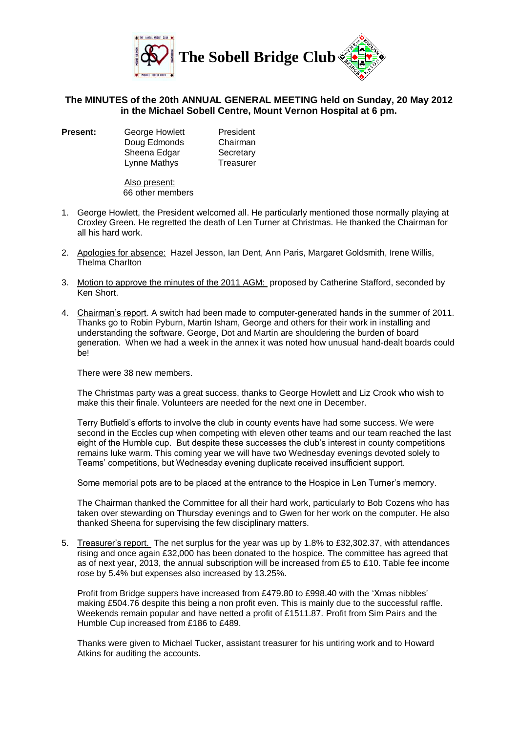

## **The MINUTES of the 20th ANNUAL GENERAL MEETING held on Sunday, 20 May 2012 in the Michael Sobell Centre, Mount Vernon Hospital at 6 pm.**

**Present:** George Howlett President Doug Edmonds Chairman Sheena Edgar Secretary Lynne Mathys Treasurer

Also present: 66 other members

- 1. George Howlett, the President welcomed all. He particularly mentioned those normally playing at Croxley Green. He regretted the death of Len Turner at Christmas. He thanked the Chairman for all his hard work.
- 2. Apologies for absence: Hazel Jesson, Ian Dent, Ann Paris, Margaret Goldsmith, Irene Willis, Thelma Charlton
- 3. Motion to approve the minutes of the 2011 AGM: proposed by Catherine Stafford, seconded by Ken Short.
- 4. Chairman's report. A switch had been made to computer-generated hands in the summer of 2011. Thanks go to Robin Pyburn, Martin Isham, George and others for their work in installing and understanding the software. George, Dot and Martin are shouldering the burden of board generation. When we had a week in the annex it was noted how unusual hand-dealt boards could be!

There were 38 new members.

The Christmas party was a great success, thanks to George Howlett and Liz Crook who wish to make this their finale. Volunteers are needed for the next one in December.

Terry Butfield's efforts to involve the club in county events have had some success. We were second in the Eccles cup when competing with eleven other teams and our team reached the last eight of the Humble cup. But despite these successes the club's interest in county competitions remains luke warm. This coming year we will have two Wednesday evenings devoted solely to Teams' competitions, but Wednesday evening duplicate received insufficient support.

Some memorial pots are to be placed at the entrance to the Hospice in Len Turner's memory.

The Chairman thanked the Committee for all their hard work, particularly to Bob Cozens who has taken over stewarding on Thursday evenings and to Gwen for her work on the computer. He also thanked Sheena for supervising the few disciplinary matters.

5. Treasurer's report. The net surplus for the year was up by 1.8% to £32,302.37, with attendances rising and once again £32,000 has been donated to the hospice. The committee has agreed that as of next year, 2013, the annual subscription will be increased from £5 to £10. Table fee income rose by 5.4% but expenses also increased by 13.25%.

Profit from Bridge suppers have increased from £479.80 to £998.40 with the 'Xmas nibbles' making £504.76 despite this being a non profit even. This is mainly due to the successful raffle. Weekends remain popular and have netted a profit of £1511.87. Profit from Sim Pairs and the Humble Cup increased from £186 to £489.

Thanks were given to Michael Tucker, assistant treasurer for his untiring work and to Howard Atkins for auditing the accounts.